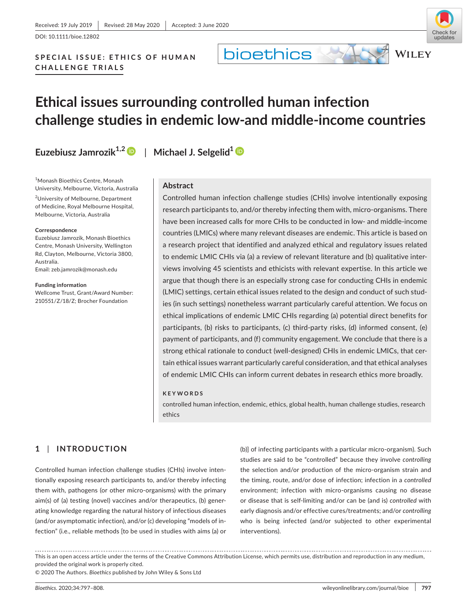DOI: 10.1111/bioe.12802

## SPECIAL ISSUE: ETHICS OF HUMAN **CHALLENGE TRIALS**

## **Ethical issues surrounding controlled human infection challenge studies in endemic low-and middle-income countries**

**bioethics** 

**Euzebiusz Jamrozik1,[2](https://orcid.org/0000-0001-5940-602X)** | **Michael J. Selgelid[1](https://orcid.org/0000-0003-3496-2884)**

1 Monash Bioethics Centre, Monash University, Melbourne, Victoria, Australia

<sup>2</sup>University of Melbourne, Department of Medicine, Royal Melbourne Hospital, Melbourne, Victoria, Australia

#### **Correspondence**

Euzebiusz Jamrozik, Monash Bioethics Centre, Monash University, Wellington Rd, Clayton, Melbourne, Victoria 3800, Australia.

Email: [zeb.jamrozik@monash.edu](mailto:zeb.jamrozik@monash.edu)

**Funding information** Wellcome Trust, Grant/Award Number:

210551/Z/18/Z; Brocher Foundation



## **Abstract**

Controlled human infection challenge studies (CHIs) involve intentionally exposing research participants to, and/or thereby infecting them with, micro-organisms. There have been increased calls for more CHIs to be conducted in low- and middle-income countries (LMICs) where many relevant diseases are endemic. This article is based on a research project that identified and analyzed ethical and regulatory issues related to endemic LMIC CHIs via (a) a review of relevant literature and (b) qualitative interviews involving 45 scientists and ethicists with relevant expertise. In this article we argue that though there is an especially strong case for conducting CHIs in endemic (LMIC) settings, certain ethical issues related to the design and conduct of such studies (in such settings) nonetheless warrant particularly careful attention. We focus on ethical implications of endemic LMIC CHIs regarding (a) potential direct benefits for participants, (b) risks to participants, (c) third-party risks, (d) informed consent, (e) payment of participants, and (f) community engagement. We conclude that there is a strong ethical rationale to conduct (well-designed) CHIs in endemic LMICs, that certain ethical issues warrant particularly careful consideration, and that ethical analyses of endemic LMIC CHIs can inform current debates in research ethics more broadly.

#### **KEYWORDS**

controlled human infection, endemic, ethics, global health, human challenge studies, research ethics

## **1** | **INTRODUCTION**

Controlled human infection challenge studies (CHIs) involve intentionally exposing research participants to, and/or thereby infecting them with, pathogens (or other micro-organisms) with the primary aim(s) of (a) testing (novel) vaccines and/or therapeutics, (b) generating knowledge regarding the natural history of infectious diseases (and/or asymptomatic infection), and/or (c) developing "models of infection" (i.e., reliable methods [to be used in studies with aims (a) or

(b)] of infecting participants with a particular micro-organism). Such studies are said to be "controlled" because they involve *controlling* the selection and/or production of the micro-organism strain and the timing, route, and/or dose of infection; infection in a *controlled* environment; infection with micro-organisms causing no disease or disease that is self-limiting and/or can be (and is) *controlled* with early diagnosis and/or effective cures/treatments; and/or *controlling* who is being infected (and/or subjected to other experimental interventions).

This is an open access article under the terms of the [Creative Commons Attribution](http://creativecommons.org/licenses/by/4.0/) License, which permits use, distribution and reproduction in any medium, provided the original work is properly cited.

© 2020 The Authors. *Bioethics* published by John Wiley & Sons Ltd



**WILEY**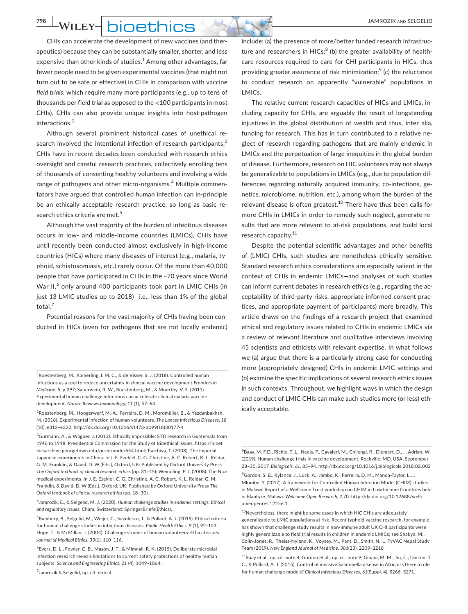## **WILEY** DIOEthics

CHIs can accelerate the development of new vaccines (and therapeutics) because they can be substantially smaller, shorter, and less expensive than other kinds of studies.<sup>1</sup> Among other advantages, far fewer people need to be given experimental vaccines (that might not turn out to be safe or effective) in CHIs in comparison with vaccine *field trials*, which require many more participants (e.g., up to tens of thousands per field trial as opposed to the <100 participants in most CHIs). CHIs can also provide unique insights into host-pathogen interactions.<sup>2</sup>

Although several prominent historical cases of unethical research involved the intentional infection of research participants,<sup>3</sup> CHIs have in recent decades been conducted with research ethics oversight and careful research practices, collectively enrolling tens of thousands of consenting healthy volunteers and involving a wide range of pathogens and other micro-organisms.<sup>4</sup> Multiple commentators have argued that controlled human infection can in-principle be an ethically acceptable research practice, so long as basic research ethics criteria are met.<sup>5</sup>

Although the vast majority of the burden of infectious diseases occurs in low- and middle-income countries (LMICs), CHIs have until recently been conducted almost exclusively in high-income countries (HICs) where many diseases of interest (e.g., malaria, typhoid, schistosomiasis, etc.) rarely occur. Of the more than 40,000 people that have participated in CHIs in the ~70 years since World War II, $^6$  only around 400 participants took part in LMIC CHIs (in just 13 LMIC studies up to 2018)—i.e., less than 1% of the global total.<sup>7</sup>

Potential reasons for the vast majority of CHIs having been conducted in HICs (even for pathogens that are not locally endemic)

<sup>3</sup>Gutmann, A., & Wagner, J. (2012). Ethically impossible: STD research in Guatemala from 1946 to 1948. Presidential Commission for the Study of Bioethical Issues. [https://bioet](https://bioethicsarchive.georgetown.edu/pcsbi/node/654.html) [hicsarchive.georgetown.edu/pcsbi/node/654.html](https://bioethicsarchive.georgetown.edu/pcsbi/node/654.html); Tsuchiya, T. (2008). The imperial Japanese experiments in China. In J. E. Ezekiel, C. G. Christine, A. C. Robert, K. L. Reidar, G. M. Franklin, & David, D. W (Eds.), Oxford, UK: Published by Oxford University Press *The Oxford textbook of clinical research ethics* (pp. 31–45); Weindling, P. J. (2008). The Nazi medical experiments. In J. E. Ezekiel, C. G. Christine, A. C. Robert, K. L. Reidar, G. M. Franklin, & David, D. W (Eds.), Oxford, UK: Published by Oxford University Press *The Oxford textbook of clinical research ethics* (pp. 18–30).

4 Jamrozik, E., & Selgelid, M. J. (2020). *Human challenge studies in endemic settings: Ethical and regulatory issues.* Cham, Switzerland: SpringerBriefs(Ethics).

5 Bambery, B., Selgelid, M., Weijer, C., Savulescu, J., & Pollard, A. J. (2015). Ethical criteria for human challenge studies in infectious diseases. *Public Health Ethics, 9* (1), 92–103; Hope, T., & McMillan, J. (2004). Challenge studies of human volunteers: Ethical issues. *Journal of Medical Ethics, 30*(1), 110–116.

6 Evers, D. L., Fowler, C. B., Mason, J. T., & Mimnall, R. K. (2015). Deliberate microbial infection research reveals limitations to current safety protections of healthy human subjects. *Science and Engineering Ethics, 21* (4), 1049–1064.

<sup>7</sup>Jamrozik & Selgelid, op. cit. note 4.

include: (a) the presence of more/better funded research infrastructure and researchers in HICs;<sup>8</sup> (b) the greater availability of healthcare resources required to care for CHI participants in HICs, thus providing greater assurance of risk minimization; $^9$  (c) the reluctance to conduct research on apparently "vulnerable" populations in LMICs.

The relative current research capacities of HICs and LMICs, including capacity for CHIs, are arguably the result of longstanding injustices in the global distribution of wealth and thus, inter alia, funding for research. This has in turn contributed to a relative neglect of research regarding pathogens that are mainly endemic in LMICs and the perpetuation of large inequities in the global burden of disease. Furthermore, research on HIC volunteers may not always be generalizable to populations in LMICs (e.g., due to population differences regarding naturally acquired immunity, co-infections, genetics, microbiome, nutrition, etc.), among whom the burden of the relevant disease is often greatest.<sup>10</sup> There have thus been calls for more CHIs in LMICs in order to remedy such neglect, generate results that are more relevant to at-risk populations, and build local research capacity.<sup>11</sup>

Despite the potential scientific advantages and other benefits of (LMIC) CHIs, such studies are nonetheless ethically sensitive. Standard research ethics considerations are especially salient in the context of CHIs in endemic LMICs—and analyses of such studies can inform current debates in research ethics (e.g., regarding the acceptability of third-party risks, appropriate informed consent practices, and appropriate payment of participants) more broadly. This article draws on the findings of a research project that examined ethical and regulatory issues related to CHIs in endemic LMICs via a review of relevant literature and qualitative interviews involving 45 scientists and ethicists with relevant expertise. In what follows we (a) argue that there is a particularly strong case for conducting more (appropriately designed) CHIs in endemic LMIC settings and (b) examine the specific implications of several research ethics issues in such contexts. Throughout, we highlight ways in which the design and conduct of LMIC CHIs can make such studies more (or less) ethically acceptable.

<sup>&</sup>lt;sup>1</sup>Roestenberg, M., Kamerling, I. M. C., & de Visser, S. J. (2018). Controlled human infections as a tool to reduce uncertainty in clinical vaccine development.*Frontiers in Medicine*, 5. p.297; Sauerwein, R. W., Roestenberg, M., & Moorthy, V. S. (2011). Experimental human challenge infections can accelerate clinical malaria vaccine development. *Nature Reviews Immunology, 11* (1), 57–64.

<sup>&</sup>lt;sup>2</sup> Roestenberg, M., Hoogerwerf, M.-A., Ferreira, D. M., Mordmüller, B., & Yazdanbakhsh, M. (2018). Experimental infection of human volunteers. *The Lancet Infectious Diseases, 18* (10), e312–e322. [http://dx.doi.org/10.1016/s1473-3099\(18\)30177-4](http://dx.doi.org/10.1016/s1473-3099(18)30177-4)

<sup>&</sup>lt;sup>8</sup>Baay, M. F.D., Richie, T. L., Neels, P., Cavaleri, M., Chilengi. R., Diemert. D., ... Adrian, W. (2019). Human challenge trials in vaccine development, Rockville, MD, USA, September 28–30, 2017. *Biologicals, 61*, 85–94.<http://dx.doi.org/10.1016/j.biologicals.2018.02.002>

<sup>9</sup> Gordon, S. B., Rylance, J., Luck, A., Jambo, K., Ferreira, D. M., Manda-Taylor, L., … Mlombe, Y. (2017). A framework for Controlled Human Infection Model (CHIM) studies in Malawi: Report of a Wellcome Trust workshop on CHIM in Low Income Countries held in Blantyre, Malawi. *Wellcome Open Research, 2,*70. [http://dx.doi.org/10.12688/wellc](http://dx.doi.org/10.12688/wellcomeopenres.12256.1) [omeopenres.12256.1](http://dx.doi.org/10.12688/wellcomeopenres.12256.1)

<sup>&</sup>lt;sup>10</sup>Nevertheless, there might be some cases in which HIC CHIs are adequately generalizable to LMIC populations at risk. Recent typhoid vaccine research, for example, has shown that challenge study results in non-immune adult UK CHI participants were highly generalizable to field trial results in children in endemic LMICs; see Shakya, M., Colin-Jones, R., Theiss-Nyland, K., Voysey, M., Pant, D., Smith, N., … TyVAC Nepal Study Team (2019). *New England Journal of Medicine, 381*(23), 2209–2218

<sup>11</sup>Baay et al., op. cit. note 8; Gordon et al., op. cit. note 9; Gibani, M. M., Jin, C., Darton, T. C., & Pollard, A. J. (2015). Control of invasive Salmonella disease in Africa: Is there a role for human challenge models? *Clinical Infectious Diseases, 61*(Suppl. 4), S266–S271.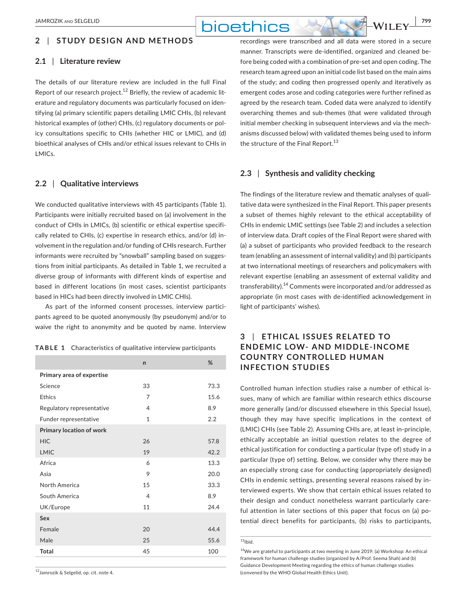## **2** | **STUDY DESIGN AND METHODS**

#### **2.1** | **Literature review**

The details of our literature review are included in the full Final Report of our research project.<sup>12</sup> Briefly, the review of academic literature and regulatory documents was particularly focused on identifying (a) primary scientific papers detailing LMIC CHIs, (b) relevant historical examples of (other) CHIs, (c) regulatory documents or policy consultations specific to CHIs (whether HIC or LMIC), and (d) bioethical analyses of CHIs and/or ethical issues relevant to CHIs in LMICs.

#### **2.2** | **Qualitative interviews**

We conducted qualitative interviews with 45 participants (Table 1). Participants were initially recruited based on (a) involvement in the conduct of CHIs in LMICs, (b) scientific or ethical expertise specifically related to CHIs, (c) expertise in research ethics, and/or (d) involvement in the regulation and/or funding of CHIs research. Further informants were recruited by "snowball" sampling based on suggestions from initial participants. As detailed in Table 1, we recruited a diverse group of informants with different kinds of expertise and based in different locations (in most cases, scientist participants based in HICs had been directly involved in LMIC CHIs).

As part of the informed consent processes, interview participants agreed to be quoted anonymously (by pseudonym) and/or to waive the right to anonymity and be quoted by name. Interview

|  | <b>TABLE 1</b> Characteristics of qualitative interview participants |  |  |  |
|--|----------------------------------------------------------------------|--|--|--|
|--|----------------------------------------------------------------------|--|--|--|

|                           | $\mathsf{n}$   | %    |
|---------------------------|----------------|------|
| Primary area of expertise |                |      |
| Science                   | 33             | 73.3 |
| Ethics                    | $\overline{7}$ | 15.6 |
| Regulatory representative | $\overline{4}$ | 8.9  |
| Funder representative     | 1              | 2.2  |
| Primary location of work  |                |      |
| <b>HIC</b>                | 26             | 57.8 |
| LMIC                      | 19             | 42.2 |
| Africa                    | 6              | 13.3 |
| Asia                      | 9              | 20.0 |
| North America             | 15             | 33.3 |
| South America             | $\overline{4}$ | 8.9  |
| UK/Europe                 | 11             | 24.4 |
| Sex                       |                |      |
| Female                    | 20             | 44.4 |
| Male                      | 25             | 55.6 |
| <b>Total</b>              | 45             | 100  |

12Jamrozik & Selgelid, op. cit. note 4.

recordings were transcribed and all data were stored in a secure manner. Transcripts were de-identified, organized and cleaned before being coded with a combination of pre-set and open coding. The research team agreed upon an initial code list based on the main aims of the study; and coding then progressed openly and iteratively as emergent codes arose and coding categories were further refined as agreed by the research team. Coded data were analyzed to identify overarching themes and sub-themes (that were validated through initial member checking in subsequent interviews and via the mechanisms discussed below) with validated themes being used to inform the structure of the Final Report.<sup>13</sup>

### **2.3** | **Synthesis and validity checking**

The findings of the literature review and thematic analyses of qualitative data were synthesized in the Final Report. This paper presents a subset of themes highly relevant to the ethical acceptability of CHIs in endemic LMIC settings (see Table 2) and includes a selection of interview data. Draft copies of the Final Report were shared with (a) a subset of participants who provided feedback to the research team (enabling an assessment of internal validity) and (b) participants at two international meetings of researchers and policymakers with relevant expertise (enabling an assessment of external validity and transferability).14 Comments were incorporated and/or addressed as appropriate (in most cases with de-identified acknowledgement in light of participants' wishes).

## **3** | **ETHIC AL ISSUES REL ATED TO ENDEMIC LOW- AND MIDDLE-INCOME COUNTRY CONTROLLED HUMAN INFECTION STUDIES**

Controlled human infection studies raise a number of ethical issues, many of which are familiar within research ethics discourse more generally (and/or discussed elsewhere in this Special Issue), though they may have specific implications in the context of (LMIC) CHIs (see Table 2). Assuming CHIs are, at least in-principle, ethically acceptable an initial question relates to the degree of ethical justification for conducting a particular (type of) study in a particular (type of) setting. Below, we consider why there may be an especially strong case for conducting (appropriately designed) CHIs in endemic settings, presenting several reasons raised by interviewed experts. We show that certain ethical issues related to their design and conduct nonetheless warrant particularly careful attention in later sections of this paper that focus on (a) potential direct benefits for participants, (b) risks to participants,

## $13$ Ibid.

<sup>14</sup>We are grateful to participants at two meeting in June 2019: (a) Workshop: An ethical framework for human challenge studies (organized by A/Prof. Seema Shah) and (b) Guidance Development Meeting regarding the ethics of human challenge studies (convened by the WHO Global Health Ethics Unit).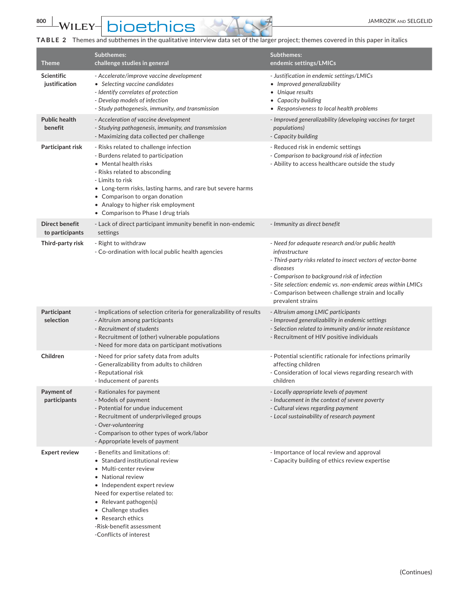**800 WILEY-DIOEthics** 

**TABLE 2** Themes and subthemes in the qualitative interview data set of the larger project; themes covered in this paper in italics

| <b>Theme</b>                       | <b>Subthemes:</b><br>challenge studies in general                                                                                                                                                                                                                                                                                         | Subthemes:<br>endemic settings/LMICs                                                                                                                                                                                                                                                                                                       |
|------------------------------------|-------------------------------------------------------------------------------------------------------------------------------------------------------------------------------------------------------------------------------------------------------------------------------------------------------------------------------------------|--------------------------------------------------------------------------------------------------------------------------------------------------------------------------------------------------------------------------------------------------------------------------------------------------------------------------------------------|
| <b>Scientific</b><br>justification | - Accelerate/improve vaccine development<br>• Selecting vaccine candidates<br>- Identify correlates of protection<br>- Develop models of infection<br>- Study pathogenesis, immunity, and transmission                                                                                                                                    | - Justification in endemic settings/LMICs<br>• Improved generalizability<br>• Unique results<br>• Capacity building<br>• Responsiveness to local health problems                                                                                                                                                                           |
| <b>Public health</b><br>benefit    | - Acceleration of vaccine development<br>- Studying pathogenesis, immunity, and transmission<br>- Maximizing data collected per challenge                                                                                                                                                                                                 | - Improved generalizability (developing vaccines for target<br><i>populations</i> )<br>- Capacity building                                                                                                                                                                                                                                 |
| Participant risk                   | - Risks related to challenge infection<br>- Burdens related to participation<br>• Mental health risks<br>- Risks related to absconding<br>- Limits to risk<br>• Long-term risks, lasting harms, and rare but severe harms<br>• Comparison to organ donation<br>• Analogy to higher risk employment<br>• Comparison to Phase I drug trials | - Reduced risk in endemic settings<br>- Comparison to background risk of infection<br>- Ability to access healthcare outside the study                                                                                                                                                                                                     |
| Direct benefit<br>to participants  | - Lack of direct participant immunity benefit in non-endemic<br>settings                                                                                                                                                                                                                                                                  | - Immunity as direct benefit                                                                                                                                                                                                                                                                                                               |
| Third-party risk                   | - Right to withdraw<br>- Co-ordination with local public health agencies                                                                                                                                                                                                                                                                  | - Need for adequate research and/or public health<br>infrastructure<br>- Third-party risks related to insect vectors of vector-borne<br>diseases<br>- Comparison to background risk of infection<br>- Site selection: endemic vs. non-endemic areas within LMICs<br>- Comparison between challenge strain and locally<br>prevalent strains |
| Participant<br>selection           | - Implications of selection criteria for generalizability of results<br>- Altruism among participants<br>- Recruitment of students<br>- Recruitment of (other) vulnerable populations<br>- Need for more data on participant motivations                                                                                                  | - Altruism among LMIC participants<br>- Improved generalizability in endemic settings<br>- Selection related to immunity and/or innate resistance<br>- Recruitment of HIV positive individuals                                                                                                                                             |
| Children                           | - Need for prior safety data from adults<br>- Generalizability from adults to children<br>- Reputational risk<br>- Inducement of parents                                                                                                                                                                                                  | - Potential scientific rationale for infections primarily<br>affecting children<br>- Consideration of local views regarding research with<br>children                                                                                                                                                                                      |
| Payment of<br>participants         | - Rationales for payment<br>- Models of payment<br>- Potential for undue inducement<br>- Recruitment of underprivileged groups<br>- Over-volunteering<br>- Comparison to other types of work/labor<br>- Appropriate levels of payment                                                                                                     | - Locally appropriate levels of payment<br>- Inducement in the context of severe poverty<br>- Cultural views regarding payment<br>- Local sustainability of research payment                                                                                                                                                               |
| <b>Expert review</b>               | - Benefits and limitations of:<br>• Standard institutional review<br>• Multi-center review<br>• National review<br>• Independent expert review<br>Need for expertise related to:<br>• Relevant pathogen(s)<br>• Challenge studies<br>• Research ethics<br>-Risk-benefit assessment<br>-Conflicts of interest                              | - Importance of local review and approval<br>- Capacity building of ethics review expertise                                                                                                                                                                                                                                                |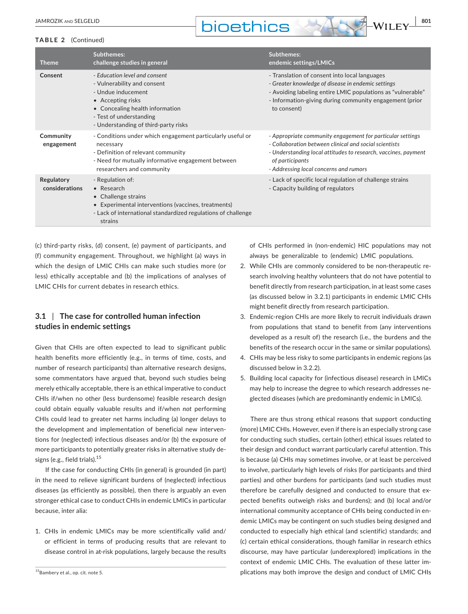# **DIOETHICS** WILEY 801



#### **TABLE 2** (Continued)

| <b>Theme</b>                 | Subthemes:<br>challenge studies in general                                                                                                                                                                    | <b>Subthemes:</b><br>endemic settings/LMICs                                                                                                                                                                                                         |
|------------------------------|---------------------------------------------------------------------------------------------------------------------------------------------------------------------------------------------------------------|-----------------------------------------------------------------------------------------------------------------------------------------------------------------------------------------------------------------------------------------------------|
| Consent                      | - Education level and consent<br>- Vulnerability and consent<br>- Undue inducement<br>• Accepting risks<br>• Concealing health information<br>- Test of understanding<br>- Understanding of third-party risks | - Translation of consent into local languages<br>- Greater knowledge of disease in endemic settings<br>- Avoiding labeling entire LMIC populations as "vulnerable"<br>- Information-giving during community engagement (prior<br>to consent)        |
| Community<br>engagement      | - Conditions under which engagement particularly useful or<br>necessary<br>- Definition of relevant community<br>- Need for mutually informative engagement between<br>researchers and community              | - Appropriate community engagement for particular settings<br>- Collaboration between clinical and social scientists<br>- Understanding local attitudes to research, vaccines, payment<br>of participants<br>- Addressing local concerns and rumors |
| Regulatory<br>considerations | - Regulation of:<br>$\bullet$ Research<br>• Challenge strains<br>• Experimental interventions (vaccines, treatments)<br>- Lack of international standardized regulations of challenge<br>strains              | - Lack of specific local regulation of challenge strains<br>- Capacity building of regulators                                                                                                                                                       |

(c) third-party risks, (d) consent, (e) payment of participants, and (f) community engagement. Throughout, we highlight (a) ways in which the design of LMIC CHIs can make such studies more (or less) ethically acceptable and (b) the implications of analyses of LMIC CHIs for current debates in research ethics.

## **3.1** | **The case for controlled human infection studies in endemic settings**

Given that CHIs are often expected to lead to significant public health benefits more efficiently (e.g., in terms of time, costs, and number of research participants) than alternative research designs, some commentators have argued that, beyond such studies being merely ethically acceptable, there is an ethical imperative to conduct CHIs if/when no other (less burdensome) feasible research design could obtain equally valuable results and if/when *not* performing CHIs could lead to greater net harms including (a) longer delays to the development and implementation of beneficial new interventions for (neglected) infectious diseases and/or (b) the exposure of more participants to potentially greater risks in alternative study designs (e.g., field trials).<sup>15</sup>

If the case for conducting CHIs (in general) is grounded (in part) in the need to relieve significant burdens of (neglected) infectious diseases (as efficiently as possible), then there is arguably an even stronger ethical case to conduct CHIs in endemic LMICs in particular because, inter alia:

1. CHIs in endemic LMICs may be more scientifically valid and/ or efficient in terms of producing results that are relevant to disease control in at-risk populations, largely because the results

of CHIs performed in (non-endemic) HIC populations may not always be generalizable to (endemic) LMIC populations.

- 2. While CHIs are commonly considered to be non-therapeutic research involving healthy volunteers that do not have potential to benefit directly from research participation, in at least some cases (as discussed below in 3.2.1) participants in endemic LMIC CHIs might benefit directly from research participation.
- 3. Endemic-region CHIs are more likely to recruit individuals drawn from populations that stand to benefit from (any interventions developed as a result of) the research (i.e., the burdens and the benefits of the research occur in the same or similar populations).
- 4. CHIs may be less risky to some participants in endemic regions (as discussed below in 3.2.2).
- 5. Building local capacity for (infectious disease) research in LMICs may help to increase the degree to which research addresses neglected diseases (which are predominantly endemic in LMICs).

There are thus strong ethical reasons that support conducting (more) LMIC CHIs. However, even if there is an especially strong case for conducting such studies, certain (other) ethical issues related to their design and conduct warrant particularly careful attention. This is because (a) CHIs may sometimes involve, or at least be perceived to involve, particularly high levels of risks (for participants and third parties) and other burdens for participants (and such studies must therefore be carefully designed and conducted to ensure that expected benefits outweigh risks and burdens); and (b) local and/or international community acceptance of CHIs being conducted in endemic LMICs may be contingent on such studies being designed and conducted to especially high ethical (and scientific) standards; and (c) certain ethical considerations, though familiar in research ethics discourse, may have particular (underexplored) implications in the context of endemic LMIC CHIs. The evaluation of these latter im-<sup>15</sup>Bambery et al., op. cit. note 5. **1998** CHIS 15Bambery et al., op. cit. note 5.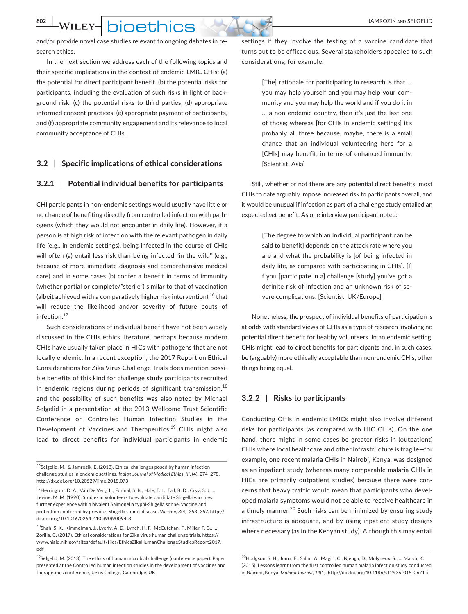**802 WILEY- DIOPTDICS** 

and/or provide novel case studies relevant to ongoing debates in research ethics.

In the next section we address each of the following topics and their specific implications in the context of endemic LMIC CHIs: (a) the potential for direct participant benefit, (b) the potential risks for participants, including the evaluation of such risks in light of background risk, (c) the potential risks to third parties, (d) appropriate informed consent practices, (e) appropriate payment of participants, and (f) appropriate community engagement and its relevance to local community acceptance of CHIs.

## **3.2** | **Specific implications of ethical considerations**

### **3.2.1** | **Potential individual benefits for participants**

CHI participants in non-endemic settings would usually have little or no chance of benefiting directly from controlled infection with pathogens (which they would not encounter in daily life). However, if a person is at high risk of infection with the relevant pathogen in daily life (e.g., in endemic settings), being infected in the course of CHIs will often (a) entail less risk than being infected "in the wild" (e.g., because of more immediate diagnosis and comprehensive medical care) and in some cases (b) confer a benefit in terms of immunity (whether partial or complete/"sterile") similar to that of vaccination (albeit achieved with a comparatively higher risk intervention),  $16$  that will reduce the likelihood and/or severity of future bouts of infection.<sup>17</sup>

Such considerations of individual benefit have not been widely discussed in the CHIs ethics literature, perhaps because modern CHIs have usually taken place in HICs with pathogens that are not locally endemic. In a recent exception, the 2017 Report on Ethical Considerations for Zika Virus Challenge Trials does mention possible benefits of this kind for challenge study participants recruited in endemic regions during periods of significant transmission,  $18$ and the possibility of such benefits was also noted by Michael Selgelid in a presentation at the 2013 Wellcome Trust Scientific Conference on Controlled Human Infection Studies in the Development of Vaccines and Therapeutics.<sup>19</sup> CHIs might also lead to direct benefits for individual participants in endemic

settings if they involve the testing of a vaccine candidate that turns out to be efficacious. Several stakeholders appealed to such considerations; for example:

> [The] rationale for participating in research is that … you may help yourself and you may help your community and you may help the world and if you do it in … a non-endemic country, then it's just the last one of those; whereas [for CHIs in endemic settings] it's probably all three because, maybe, there is a small chance that an individual volunteering here for a [CHIs] may benefit, in terms of enhanced immunity. [Scientist, Asia]

Still, whether or not there are any potential direct benefits, most CHIs to date arguably impose increased risk to participants overall, and it would be unusual if infection as part of a challenge study entailed an expected *net* benefit. As one interview participant noted:

> [The degree to which an individual participant can be said to benefit] depends on the attack rate where you are and what the probability is [of being infected in daily life, as compared with participating in CHIs]. [I] f you [participate in a] challenge [study] you've got a definite risk of infection and an unknown risk of severe complications. [Scientist, UK/Europe]

Nonetheless, the prospect of individual benefits of participation is at odds with standard views of CHIs as a type of research involving no potential direct benefit for healthy volunteers. In an endemic setting, CHIs might lead to direct benefits for participants and, in such cases, be (arguably) more ethically acceptable than non-endemic CHIs, other things being equal.

## **3.2.2** | **Risks to participants**

Conducting CHIs in endemic LMICs might also involve different risks for participants (as compared with HIC CHIs). On the one hand, there might in some cases be greater risks in (outpatient) CHIs where local healthcare and other infrastructure is fragile—for example, one recent malaria CHIs in Nairobi, Kenya, was designed as an inpatient study (whereas many comparable malaria CHIs in HICs are primarily outpatient studies) because there were concerns that heavy traffic would mean that participants who developed malaria symptoms would not be able to receive healthcare in a timely manner.<sup>20</sup> Such risks can be minimized by ensuring study infrastructure is adequate, and by using inpatient study designs where necessary (as in the Kenyan study). Although this may entail

 $16$ Selgelid, M., & Jamrozik, E. (2018). Ethical challenges posed by human infection challenge studies in endemic settings. *Indian Journal of Medical Ethics*, *III*, (4), 274–278. <http://dx.doi.org/10.20529/ijme.2018.073>

<sup>17</sup>Herrington, D. A., Van De Verg, L., Formal, S. B., Hale, T. L., Tall, B. D., Cryz, S. J., … Levine, M. M. (1990). Studies in volunteers to evaluate candidate Shigella vaccines: further experience with a bivalent Salmonella typhi-Shigella sonnei vaccine and protection conferred by previous Shigella sonnei disease. *Vaccine*, *8*(4), 353–357. [http://](http://dx.doi.org/10.1016/0264-410x(90)90094-3) [dx.doi.org/10.1016/0264-410x\(90\)90094-3](http://dx.doi.org/10.1016/0264-410x(90)90094-3)

<sup>18</sup>Shah, S. K., Kimmelman, J., Lyerly, A. D., Lynch, H. F., McCutchan, F., Miller, F. G., … Zorilla, C. (2017). Ethical considerations for Zika virus human challenge trials. [https://](https://www.niaid.nih.gov/sites/default/files/EthicsZikaHumanChallengeStudiesReport2017.pdf) [www.niaid.nih.gov/sites/default/files/EthicsZikaHumanChallengeStudiesReport2017.](https://www.niaid.nih.gov/sites/default/files/EthicsZikaHumanChallengeStudiesReport2017.pdf) [pdf](https://www.niaid.nih.gov/sites/default/files/EthicsZikaHumanChallengeStudiesReport2017.pdf)

<sup>19</sup>Selgelid, M. (2013). The ethics of human microbial challenge (conference paper). Paper presented at the Controlled human infection studies in the development of vaccines and therapeutics conference, Jesus College, Cambridge, UK.

<sup>20</sup>Hodgson, S. H., Juma, E., Salim, A., Magiri, C., Njenga, D., Molyneux, S., … Marsh, K. (2015). Lessons learnt from the first controlled human malaria infection study conducted in Nairobi, Kenya. *Malaria Journal*, *14*(1).<http://dx.doi.org/10.1186/s12936-015-0671-x>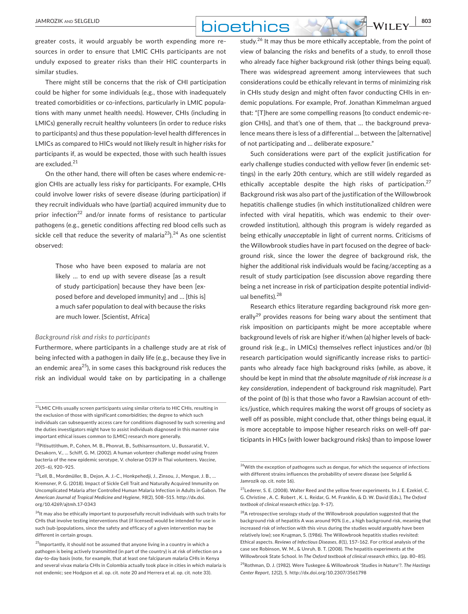# **DIOETHICS** WILEY 803

greater costs, it would arguably be worth expending more resources in order to ensure that LMIC CHIs participants are not unduly exposed to greater risks than their HIC counterparts in similar studies.

There might still be concerns that the risk of CHI participation could be higher for some individuals (e.g., those with inadequately treated comorbidities or co-infections, particularly in LMIC populations with many unmet health needs). However, CHIs (including in LMICs) generally recruit healthy volunteers (in order to reduce risks to participants) and thus these population-level health differences in LMICs as compared to HICs would not likely result in higher risks for participants if, as would be expected, those with such health issues are excluded.<sup>21</sup>

On the other hand, there will often be cases where endemic-region CHIs are actually less risky for participants. For example, CHIs could involve lower risks of severe disease (during participation) if they recruit individuals who have (partial) acquired immunity due to prior infection<sup>22</sup> and/or innate forms of resistance to particular pathogens (e.g., genetic conditions affecting red blood cells such as sickle cell that reduce the severity of malaria<sup>23</sup>).<sup>24</sup> As one scientist observed:

> Those who have been exposed to malaria are not likely … to end up with severe disease [as a result of study participation] because they have been [exposed before and developed immunity] and … [this is] a much safer population to deal with because the risks are much lower. [Scientist, Africa]

#### *Background risk and risks to participants*

Furthermore, where participants in a challenge study are at risk of being infected with a pathogen in daily life (e.g., because they live in an endemic area<sup>25</sup>), in some cases this background risk reduces the risk an individual would take on by participating in a challenge

study.<sup>26</sup> It may thus be more ethically acceptable, from the point of view of balancing the risks and benefits of a study, to enroll those who already face higher background risk (other things being equal). There was widespread agreement among interviewees that such considerations could be ethically relevant in terms of minimizing risk in CHIs study design and might often favor conducting CHIs in endemic populations. For example, Prof. Jonathan Kimmelman argued that: "[T]here are some compelling reasons [to conduct endemic-region CHIs], and that's one of them, that … the background prevalence means there is less of a differential … between the [alternative] of not participating and … deliberate exposure."

Such considerations were part of the explicit justification for early challenge studies conducted with yellow fever (in endemic settings) in the early 20th century, which are still widely regarded as ethically acceptable despite the high risks of participation.<sup>27</sup> Background risk was also part of the justification of the Willowbrook hepatitis challenge studies (in which institutionalized children were infected with viral hepatitis, which was endemic to their overcrowded institution), although this program is widely regarded as being ethically *unacceptable* in light of current norms. Criticisms of the Willowbrook studies have in part focused on the degree of background risk, since the lower the degree of background risk, the higher the additional risk individuals would be facing/accepting as a result of study participation (see discussion above regarding there being a net increase in risk of participation despite potential individual benefits).<sup>28</sup>

Research ethics literature regarding background risk more generally<sup>29</sup> provides reasons for being wary about the sentiment that risk imposition on participants might be more acceptable where background levels of risk are higher if/when (a) higher levels of background risk (e.g., in LMICs) themselves reflect injustices and/or (b) research participation would significantly increase risks to participants who already face high background risks (while, as above, it should be kept in mind that *the absolute magnitude of risk increase is a key consideration*, independent of background risk magnitude). Part of the point of (b) is that those who favor a Rawlsian account of ethics/justice, which requires making the worst off groups of society as well off as possible, might conclude that, other things being equal, it is more acceptable to impose higher research risks on well-off participants in HICs (with lower background risks) than to impose lower

*Center Report, 12*(2), 5. <http://dx.doi.org/10.2307/3561798>

 $^{21}$ LMIC CHIs usually screen participants using similar criteria to HIC CHIs, resulting in the exclusion of those with significant comorbidities; the degree to which such individuals can subsequently access care for conditions diagnosed by such screening and the duties investigators might have to assist individuals diagnosed in this manner raise important ethical issues common to (LMIC) research more generally.

<sup>22</sup>Pitisuttithum, P., Cohen, M. B., Phonrat, B., Suthisarnsuntorn, U., Bussaratid, V., Desakorn, V., … Schiff, G. M. (2002). A human volunteer challenge model using frozen bacteria of the new epidemic serotype, V. cholerae O139 in Thai volunteers. *Vaccine, 20*(5–6), 920–925.

<sup>23</sup>Lell, B., Mordmüller, B., Dejon, A. J.-C., Honkpehedji, J., Zinsou, J., Mengue, J. B., … Kremsner, P. G. (2018). Impact of Sickle Cell Trait and Naturally Acquired Immunity on Uncomplicated Malaria after Controlled Human Malaria Infection in Adults in Gabon. *The American Journal of Tropical Medicine and Hygiene*, *98*(2), 508–515. [http://dx.doi.](http://dx.doi.org/10.4269/ajtmh.17-0343) [org/10.4269/ajtmh.17-0343](http://dx.doi.org/10.4269/ajtmh.17-0343)

<sup>&</sup>lt;sup>24</sup>lt may also be ethically important to purposefully recruit individuals with such traits for CHIs that involve testing interventions that (if licensed) would be intended for use in such (sub-)populations, since the safety and efficacy of a given intervention may be different in certain groups.

<sup>&</sup>lt;sup>25</sup>Importantly, it should not be assumed that anyone living in a country in which a pathogen is being actively transmitted (in part of the country) is at risk of infection on a day-to-day basis (note, for example, that at least one falciparum malaria CHIs in Kenya and several vivax malaria CHIs in Colombia actually took place in cities in which malaria is not endemic; see Hodgson et al. op. cit. note 20 and Herrera et al. op. cit. note 33).

<sup>&</sup>lt;sup>26</sup>With the exception of pathogens such as dengue, for which the sequence of infections with different strains influences the probability of severe disease (see Selgelid & Jamrozik op. cit. note 16).

<sup>27</sup>Lederer, S. E. (2008). Walter Reed and the yellow fever experiments. In J. E. Ezekiel, C. G. Christine , A. C. Robert , K. L. Reidar, G. M. Franklin, & D. W. David (Eds.), *The Oxford textbook of clinical research ethics* (pp. 9–17).

<sup>&</sup>lt;sup>28</sup>A retrospective serology study of the Willowbrook population suggested that the background risk of hepatitis A was around 90% (i.e., a high background risk, meaning that increased risk of infection with this virus during the studies would arguably have been relatively low); see Krugman, S. (1986). The Willowbrook hepatitis studies revisited: Ethical aspects. *Reviews of Infectious Diseases, 8*(1), 157–162. For critical analysis of the case see Robinson, W. M., & Unruh, B. T. (2008). The hepatitis experiments at the Willowbrook State School. In *The Oxford textbook of clinical research ethics*, (pp. 80–85). <sup>29</sup>Rothman, D. J. (1982). Were Tuskegee & Willowbrook 'Studies in Nature'?. *The Hastings*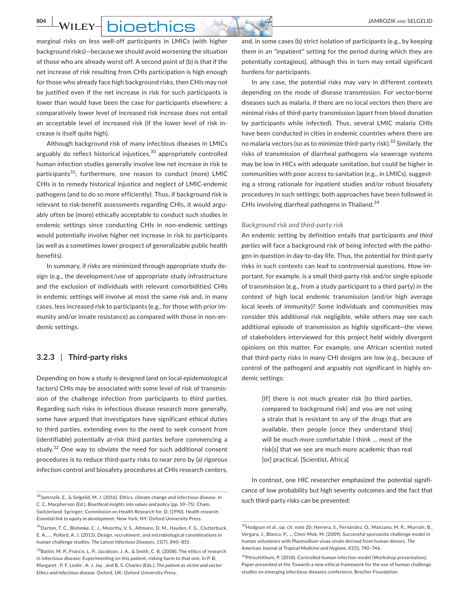**804 WILEY- DIOETHICS** 

marginal risks on less well-off participants in LMICs (with higher background risks)—because we should avoid worsening the situation of those who are already worst off. A second point of (b) is that if the net increase of risk resulting from CHIs participation is high enough for those who already face high background risks, then CHIs may not be justified even if the net increase in risk for such participants is lower than would have been the case for participants elsewhere: a comparatively lower level of increased risk increase does not entail an acceptable level of increased risk (if the lower level of risk increase is itself quite high).

Although background risk of many infectious diseases in LMICs arguably do reflect historical injustices,<sup>30</sup> appropriately controlled human infection studies generally involve low net increase in risk to participants<sup>31</sup>; furthermore, one reason to conduct (more) LMIC CHIs is to remedy historical injustice and neglect of LMIC-endemic pathogens (and to do so more efficiently). Thus, if background risk is relevant to risk-benefit assessments regarding CHIs, it would arguably often be (more) ethically acceptable to conduct such studies in endemic settings since conducting CHIs in non-endemic settings would potentially involve higher net increase in risk to participants (as well as a sometimes lower prospect of generalizable public health benefits).

In summary, if risks are minimized through appropriate study design (e.g., the development/use of appropriate study infrastructure and the exclusion of individuals with relevant comorbidities) CHIs in endemic settings will involve at most the same risk and, in many cases, less increased risk to participants (e.g., for those with prior immunity and/or innate resistance) as compared with those in non-endemic settings.

## **3.2.3** | **Third-party risks**

Depending on how a study is designed (and on local epidemiological factors) CHIs may be associated with some level of risk of transmission of the challenge infection from participants to third parties. Regarding such risks in infectious disease research more generally, some have argued that investigators have significant ethical duties to third parties, extending even to the need to seek consent from (identifiable) potentially at-risk third parties before commencing a study.<sup>32</sup> One way to obviate the need for such additional consent procedures is to reduce third-party risks to near zero by (a) rigorous infection control and biosafety procedures at CHIs research centers,

and, in some cases (b) strict isolation of participants (e.g., by keeping them in an "inpatient" setting for the period during which they are potentially contagious), although this in turn may entail significant burdens for participants.

In any case, the potential risks may vary in different contexts depending on the mode of disease transmission. For vector-borne diseases such as malaria, if there are no local vectors then there are minimal risks of third-party transmission (apart from blood donation by participants while infected). Thus, several LMIC malaria CHIs have been conducted in cities in endemic countries where there are no malaria vectors (so as to minimize third-party risk).<sup>33</sup> Similarly, the risks of transmission of diarrheal pathogens via sewerage systems may be low in HICs with adequate sanitation, but could be higher in communities with poor access to sanitation (e.g., in LMICs), suggesting a strong rationale for inpatient studies and/or robust biosafety procedures in such settings; both approaches have been followed in CHIs involving diarrheal pathogens in Thailand.<sup>34</sup>

#### *Background risk and third-party risk*

An endemic setting by definition entails that participants *and third parties* will face a background risk of being infected with the pathogen in question in day-to-day life. Thus, the potential for third-party risks in such contexts can lead to controversial questions. How important, for example, is a small third-party risk and/or single episode of transmission (e.g., from a study participant to a third party) in the context of high local endemic transmission (and/or high average local levels of immunity)? Some individuals and communities may consider this additional risk negligible, while others may see each additional episode of transmission as highly significant—the views of stakeholders interviewed for this project held widely divergent opinions on this matter. For example, one African scientist noted that third-party risks in many CHI designs are low (e.g., because of control of the pathogen) and arguably not significant in highly endemic settings:

> [If] there is not much greater risk [to third parties, compared to background risk] and you are not using a strain that is resistant to any of the drugs that are available, then people [once they understand this] will be much more comfortable I think … most of the risk[s] that we see are much more academic than real [or] practical. [Scientist, Africa]

In contrast, one HIC researcher emphasized the potential significance of low probability but high severity outcomes and the fact that

<sup>&</sup>lt;sup>30</sup> Jamrozik, E., & Selgelid, M. J. (2016). Ethics, climate change and infectious disease. In<br>
30 Jamrozik, E., & Selgelid, M. J. (2016). Ethics, climate change and infectious disease. In such third-party risks can be pre C. C. Macpherson (Ed.), *Bioethical insights into values and policy* (pp. 59–75). Cham, Switzerland: Springer; Commission on Health Research for, D. (1990). *Health research: Essential link to equity in development*. New York, NY: Oxford University Press.

<sup>31</sup>Darton, T. C., Blohmke, C. J., Moorthy, V. S., Altmann, D. M., Hayden, F. G., Clutterbuck, E. A., … Pollard, A. J. (2015). Design, recruitment, and microbiological considerations in human challenge studies. *The Lancet Infectious Diseases, 15*(7), 840–851.

<sup>&</sup>lt;sup>32</sup>Battin, M. P., Francis, L. P., Jacobson, J. A., & Smith, C. B. (2008). The ethics of research in infectious disease: Experimenting on this patient, risking harm to that one. In P. B. Margaret , P. F. Leslie , A. J. Jay , and B. S. Charles (Eds.), *The patient as victim and vector: Ethics and infectious disease*. Oxford, UK: Oxford University Press.

<sup>33</sup>Hodgson et al., op. cit. note 20; Herrera, S., Fernández, O., Manzano, M. R., Murrain, B., Vergara, J., Blanco, P., … Chen-Mok, M. (2009). Successful sporozoite challenge model in human volunteers with Plasmodium vivax strain derived from human donors. *The American Journal of Tropical Medicine and Hygiene, 81*(5), 740–746.

<sup>34</sup>Pitisuttithum, P. (2018). Controlled human infection model (Workshop presentation). Paper presented at the Towards a new ethical framework for the use of human challenge studies on emerging infectious diseases conference, Brocher Foundation.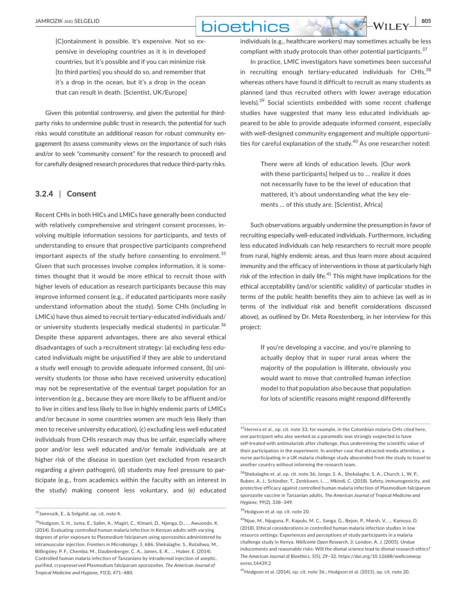## **DIOETHICS** WILEY 805

[C]ontainment is possible. It's expensive. Not so expensive in developing countries as it is in developed countries, but it's possible and if you can minimize risk [to third parties] you should do so, and remember that it's a drop in the ocean, but it's a drop in the ocean that can result in death. [Scientist, UK/Europe]

Given this potential controversy, and given the potential for thirdparty risks to undermine public trust in research, the potential for such risks would constitute an additional reason for robust community engagement (to assess community views on the importance of such risks and/or to seek "community consent" for the research to proceed) and for carefully designed research procedures that reduce third-party risks.

## **3.2.4** | **Consent**

Recent CHIs in both HICs and LMICs have generally been conducted with relatively comprehensive and stringent consent processes, involving multiple information sessions for participants, and tests of understanding to ensure that prospective participants comprehend important aspects of the study before consenting to enrolment.<sup>35</sup> Given that such processes involve complex information, it is sometimes thought that it would be more ethical to recruit those with higher levels of education as research participants because this may improve informed consent (e.g., if educated participants more easily understand information about the study). Some CHIs (including in LMICs) have thus aimed to recruit tertiary-educated individuals and/ or university students (especially medical students) in particular.<sup>36</sup> Despite these apparent advantages, there are also several ethical disadvantages of such a recruitment strategy: (a) excluding less educated individuals might be unjustified if they are able to understand a study well enough to provide adequate informed consent, (b) university students (or those who have received university education) may not be representative of the eventual target population for an intervention (e.g., because they are more likely to be affluent and/or to live in cities and less likely to live in highly endemic parts of LMICs and/or because in some countries women are much less likely than men to receive university education), (c) excluding less well educated individuals from CHIs research may thus be unfair, especially where poor and/or less well educated and/or female individuals are at higher risk of the disease in question (yet excluded from research regarding a given pathogen), (d) students may feel pressure to participate (e.g., from academics within the faculty with an interest in the study) making consent less voluntary, and (e) educated

individuals (e.g., healthcare workers) may sometimes actually be less compliant with study protocols than other potential participants.<sup>37</sup>

In practice, LMIC investigators have sometimes been successful in recruiting enough tertiary-educated individuals for CHIs. $^{38}$ whereas others have found it difficult to recruit as many students as planned (and thus recruited others with lower average education levels).<sup>39</sup> Social scientists embedded with some recent challenge studies have suggested that many less educated individuals appeared to be able to provide adequate informed consent, especially with well-designed community engagement and multiple opportunities for careful explanation of the study.<sup>40</sup> As one researcher noted:

> There were all kinds of education levels. [Our work with these participants] helped us to … realize it does not necessarily have to be the level of education that mattered, it's about understanding what the key elements … of this study are. [Scientist, Africa]

Such observations arguably undermine the presumption in favor of recruiting especially well-educated individuals. Furthermore, including less educated individuals can help researchers to recruit more people from rural, highly endemic areas, and thus learn more about acquired immunity and the efficacy of interventions in those at particularly high risk of the infection in daily life.<sup>41</sup> This might have implications for the ethical acceptability (and/or scientific validity) of particular studies in terms of the public health benefits they aim to achieve (as well as in terms of the individual risk and benefit considerations discussed above), as outlined by Dr. Meta Roestenberg, in her interview for this project:

> If you're developing a vaccine, and you're planning to actually deploy that in super rural areas where the majority of the population is illiterate, obviously you would want to move that controlled human infection model to that population also because that population for lots of scientific reasons might respond differently

41Hodgson et al. (2014), op. cit. note 36.; Hodgson et al. (2015), op. cit. note 20.

<sup>35</sup>Jamrozik, E., & Selgelid, op. cit. note 4.

<sup>36</sup>Hodgson, S. H., Juma, E., Salim, A., Magiri, C., Kimani, D., Njenga, D., … Awuondo, K. (2014). Evaluating controlled human malaria infection in Kenyan adults with varying degrees of prior exposure to Plasmodium falciparum using sporozoites administered by intramuscular injection. *Frontiers in Microbiology, 5*, 686; Shekalaghe, S., Rutaihwa, M., Billingsley, P. F., Chemba, M., Daubenberger, C. A., James, E. R., … Huber, E. (2014). Controlled human malaria infection of Tanzanians by intradermal injection of aseptic, purified, cryopreserved Plasmodium falciparum sporozoites. *The American Journal of Tropical Medicine and Hygiene, 91*(3), 471–480.

<sup>&</sup>lt;sup>37</sup> Herrera et al., op. cit. note 33; for example, in the Colombian malaria CHIs cited here, one participant who also worked as a paramedic was strongly suspected to have self-treated with antimalarials after challenge, thus undermining the scientific value of their participation in the experiment. In another case that attracted media attention, a nurse participating in a UK malaria challenge study absconded from the study to travel to another country without informing the research team.

 $38$ Shekalaghe et. al. op. cit. note 36; Jongo, S. A., Shekalaghe, S. A., Church, L. W. P., Ruben, A. J., Schindler, T., Zenklusen, I., … Mkindi, C. (2018). Safety, immunogenicity, and protective efficacy against controlled human malaria infection of Plasmodium falciparum sporozoite vaccine in Tanzanian adults. *The American Journal of Tropical Medicine and Hygiene, 99*(2), 338–349.

<sup>39</sup>Hodgson et al. op. cit. note 20.

<sup>40</sup>Njue, M., Njuguna, P., Kapulu, M. C., Sanga, G., Bejon, P., Marsh, V., … Kamuya, D. (2018). Ethical considerations in controlled human malaria infection studies in low resource settings: Experiences and perceptions of study participants in a malaria challenge study in Kenya. *Wellcome Open Research*, *3*; London, A. J. (2005). Undue inducements and reasonable risks: Will the dismal science lead to dismal research ethics? *The American Journal of Bioethics, 5*(5), 29–32. [https://doi.org/10.12688/wellcomeop](https://doi.org/10.12688/wellcomeopenres.14439.2) [enres.14439.2](https://doi.org/10.12688/wellcomeopenres.14439.2)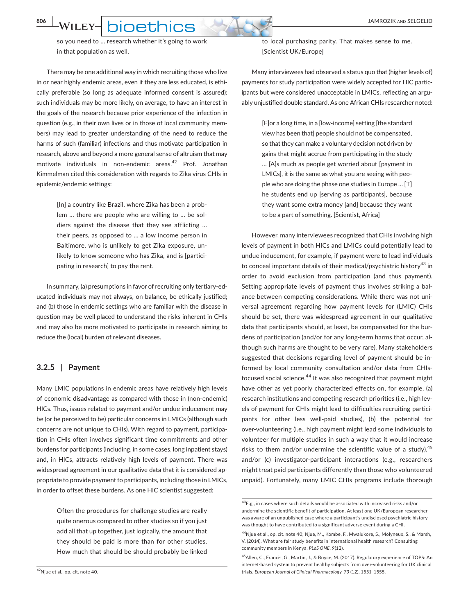**806 WILEY- DIOETHICS** 

so you need to … research whether it's going to work in that population as well.

There may be one additional way in which recruiting those who live in or near highly endemic areas, even if they are less educated, is ethically preferable (so long as adequate informed consent is assured): such individuals may be more likely, on average, to have an interest in the goals of the research because prior experience of the infection in question (e.g., in their own lives or in those of local community members) may lead to greater understanding of the need to reduce the harms of such (familiar) infections and thus motivate participation in research, above and beyond a more general sense of altruism that may motivate individuals in non-endemic areas.<sup>42</sup> Prof. Jonathan Kimmelman cited this consideration with regards to Zika virus CHIs in epidemic/endemic settings:

> [In] a country like Brazil, where Zika has been a problem … there are people who are willing to … be soldiers against the disease that they see afflicting … their peers, as opposed to … a low income person in Baltimore, who is unlikely to get Zika exposure, unlikely to know someone who has Zika, and is [participating in research] to pay the rent.

In summary, (a) presumptions in favor of recruiting only tertiary-educated individuals may not always, on balance, be ethically justified; and (b) those in endemic settings who are familiar with the disease in question may be well placed to understand the risks inherent in CHIs and may also be more motivated to participate in research aiming to reduce the (local) burden of relevant diseases.

#### **3.2.5** | **Payment**

Many LMIC populations in endemic areas have relatively high levels of economic disadvantage as compared with those in (non-endemic) HICs. Thus, issues related to payment and/or undue inducement may be (or be perceived to be) particular concerns in LMICs (although such concerns are not unique to CHIs). With regard to payment, participation in CHIs often involves significant time commitments and other burdens for participants (including, in some cases, long inpatient stays) and, in HICs, attracts relatively high levels of payment. There was widespread agreement in our qualitative data that it is considered appropriate to provide payment to participants, including those in LMICs, in order to offset these burdens. As one HIC scientist suggested:

> Often the procedures for challenge studies are really quite onerous compared to other studies so if you just add all that up together, just logically, the amount that they should be paid is more than for other studies. How much that should be should probably be linked

to local purchasing parity. That makes sense to me. [Scientist UK/Europe]

Many interviewees had observed a status quo that (higher levels of) payments for study participation were widely accepted for HIC participants but were considered unacceptable in LMICs, reflecting an arguably unjustified double standard. As one African CHIs researcher noted:

> [F]or a long time, in a [low-income] setting [the standard view has been that] people should not be compensated, so that they can make a voluntary decision not driven by gains that might accrue from participating in the study … [A]s much as people get worried about [payment in LMICs], it is the same as what you are seeing with people who are doing the phase one studies in Europe … [T] he students end up [serving as participants], because they want some extra money [and] because they want to be a part of something. [Scientist, Africa]

However, many interviewees recognized that CHIs involving high levels of payment in both HICs and LMICs could potentially lead to undue inducement, for example, if payment were to lead individuals to conceal important details of their medical/psychiatric history<sup>43</sup> in order to avoid exclusion from participation (and thus payment). Setting appropriate levels of payment thus involves striking a balance between competing considerations. While there was not universal agreement regarding how payment levels for (LMIC) CHIs should be set, there was widespread agreement in our qualitative data that participants should, at least, be compensated for the burdens of participation (and/or for any long-term harms that occur, although such harms are thought to be very rare). Many stakeholders suggested that decisions regarding level of payment should be informed by local community consultation and/or data from CHIsfocused social science.44 It was also recognized that payment might have other as yet poorly characterized effects on, for example, (a) research institutions and competing research priorities (i.e., high levels of payment for CHIs might lead to difficulties recruiting participants for other less well-paid studies), (b) the potential for over-volunteering (i.e., high payment might lead some individuals to volunteer for multiple studies in such a way that it would increase risks to them and/or undermine the scientific value of a study),  $45$ and/or (c) investigator-participant interactions (e.g., researchers might treat paid participants differently than those who volunteered unpaid). Fortunately, many LMIC CHIs programs include thorough

<sup>43</sup>E.g., in cases where such details would be associated with increased risks and/or undermine the scientific benefit of participation. At least one UK/European researcher was aware of an unpublished case where a participant's undisclosed psychiatric history was thought to have contributed to a significant adverse event during a CHI.

<sup>44</sup>Njue et al., op. cit. note 40; Njue, M., Kombe, F., Mwalukore, S., Molyneux, S., & Marsh, V. (2014). What are fair study benefits in international health research? Consulting community members in Kenya. *PLoS ONE*, *9*(12).

<sup>&</sup>lt;sup>45</sup>Allen, C., Francis, G., Martin, J., & Boyce, M. (2017). Regulatory experience of TOPS: An internet-based system to prevent healthy subjects from over-volunteering for UK clinical trials. *European Journal of Clinical Pharmacology, 73* (12), 1551–1555.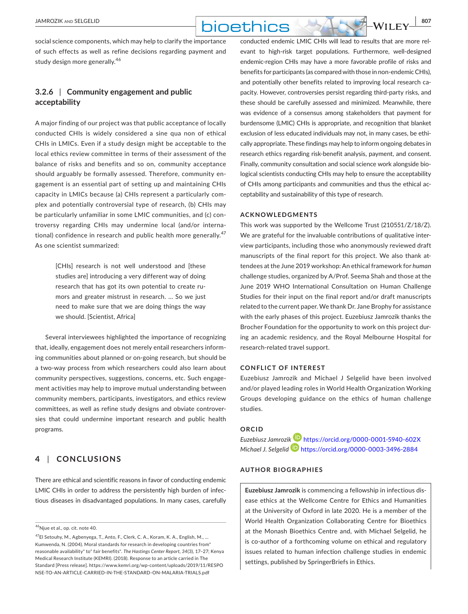## **DIOBTHICS** WILEY 807

social science components, which may help to clarify the importance of such effects as well as refine decisions regarding payment and study design more generally.<sup>46</sup>

## **3.2.6** | **Community engagement and public acceptability**

A major finding of our project was that public acceptance of locally conducted CHIs is widely considered a sine qua non of ethical CHIs in LMICs. Even if a study design might be acceptable to the local ethics review committee in terms of their assessment of the balance of risks and benefits and so on, community acceptance should arguably be formally assessed. Therefore, community engagement is an essential part of setting up and maintaining CHIs capacity in LMICs because (a) CHIs represent a particularly complex and potentially controversial type of research, (b) CHIs may be particularly unfamiliar in some LMIC communities, and (c) controversy regarding CHIs may undermine local (and/or international) confidence in research and public health more generally.<sup>47</sup> As one scientist summarized:

> [CHIs] research is not well understood and [these studies are] introducing a very different way of doing research that has got its own potential to create rumors and greater mistrust in research. … So we just need to make sure that we are doing things the way we should. [Scientist, Africa]

Several interviewees highlighted the importance of recognizing that, ideally, engagement does not merely entail researchers informing communities about planned or on-going research, but should be a two-way process from which researchers could also learn about community perspectives, suggestions, concerns, etc. Such engagement activities may help to improve mutual understanding between community members, participants, investigators, and ethics review committees, as well as refine study designs and obviate controversies that could undermine important research and public health programs.

## **4** | **CONCLUSIONS**

There are ethical and scientific reasons in favor of conducting endemic LMIC CHIs in order to address the persistently high burden of infectious diseases in disadvantaged populations. In many cases, carefully conducted endemic LMIC CHIs will lead to results that are more relevant to high-risk target populations. Furthermore, well-designed endemic-region CHIs may have a more favorable profile of risks and benefits for participants (as compared with those in non-endemic CHIs), and potentially other benefits related to improving local research capacity. However, controversies persist regarding third-party risks, and these should be carefully assessed and minimized. Meanwhile, there was evidence of a consensus among stakeholders that payment for burdensome (LMIC) CHIs is appropriate, and recognition that blanket exclusion of less educated individuals may not, in many cases, be ethically appropriate. These findings may help to inform ongoing debates in research ethics regarding risk-benefit analysis, payment, and consent. Finally, community consultation and social science work alongside biological scientists conducting CHIs may help to ensure the acceptability of CHIs among participants and communities and thus the ethical acceptability and sustainability of this type of research.

#### **ACKNOWLEDGMENTS**

This work was supported by the Wellcome Trust (210551/Z/18/Z). We are grateful for the invaluable contributions of qualitative interview participants, including those who anonymously reviewed draft manuscripts of the final report for this project. We also thank attendees at the June 2019 workshop: An ethical framework for *human* challenge studies, organized by A/Prof. Seema Shah and those at the June 2019 WHO International Consultation on Human Challenge Studies for their input on the final report and/or draft manuscripts related to the current paper. We thank Dr. Jane Brophy for assistance with the early phases of this project. Euzebiusz Jamrozik thanks the Brocher Foundation for the opportunity to work on this project during an academic residency, and the Royal Melbourne Hospital for research-related travel support.

#### **CONFLICT OF INTEREST**

Euzebiusz Jamrozik and Michael J Selgelid have been involved and/or played leading roles in World Health Organization Working Groups developing guidance on the ethics of human challenge studies.

#### **ORCID**

*Euzebiusz Jamrozi[k](https://orcid.org/0000-0003-3496-2884)* <https://orcid.org/0000-0001-5940-602X> *Michael J. Selgelid* <https://orcid.org/0000-0003-3496-2884>

### **AUTHOR BIOGRAPHIES**

**Euzebiusz Jamrozik** is commencing a fellowship in infectious disease ethics at the Wellcome Centre for Ethics and Humanities at the University of Oxford in late 2020. He is a member of the World Health Organization Collaborating Centre for Bioethics at the Monash Bioethics Centre and, with Michael Selgelid, he is co-author of a forthcoming volume on ethical and regulatory issues related to human infection challenge studies in endemic settings, published by SpringerBriefs in Ethics.

<sup>46</sup>Njue et al., op. cit. note 40.

<sup>47</sup>El Setouhy, M., Agbenyega, T., Anto, F., Clerk, C. A., Koram, K. A., English, M., … Kumwenda, N. (2004). Moral standards for research in developing countries from" reasonable availability" to" fair benefits". *The Hastings Center Report, 34*(3), 17–27; Kenya Medical Research Institute (KEMRI). (2018). Response to an article carried in The Standard [Press release]. [https://www.kemri.org/wp-content/uploads/2019/11/RESPO](https://www.kemri.org/wp-content/uploads/2019/11/RESPONSE-TO-AN-ARTICLE-CARRIED-IN-THE-STANDARD-ON-MALARIA-TRIALS.pdf) [NSE-TO-AN-ARTICLE-CARRIED-IN-THE-STANDARD-ON-MALARIA-TRIALS.pdf](https://www.kemri.org/wp-content/uploads/2019/11/RESPONSE-TO-AN-ARTICLE-CARRIED-IN-THE-STANDARD-ON-MALARIA-TRIALS.pdf)